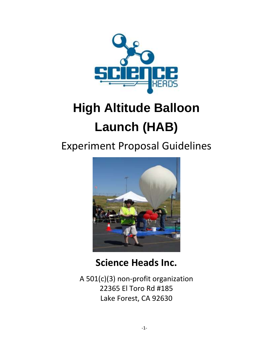

# **High Altitude Balloon Launch (HAB)**

## Experiment Proposal Guidelines



## **Science Heads Inc.**

A 501(c)(3) non-profit organization 22365 El Toro Rd #185 Lake Forest, CA 92630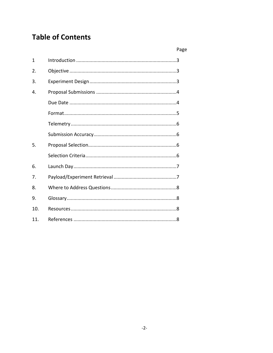## **Table of Contents**

|                 | Page |
|-----------------|------|
| 1               |      |
| 2.              |      |
| 3.              |      |
| 4.              |      |
|                 |      |
|                 |      |
|                 |      |
|                 |      |
| 5.              |      |
|                 |      |
| 6.              |      |
| 7.              |      |
| 8.              |      |
| 9.              |      |
| 10.             |      |
| 11 <sub>1</sub> |      |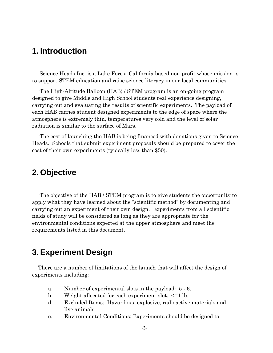## **1. Introduction**

 Science Heads Inc. is a Lake Forest California based non-profit whose mission is to support STEM education and raise science literacy in our local communities.

 The High-Altitude Balloon (HAB) / STEM program is an on-going program designed to give Middle and High School students real experience designing, carrying out and evaluating the results of scientific experiments. The payload of each HAB carries student designed experiments to the edge of space where the atmosphere is extremely thin, temperatures very cold and the level of solar radiation is similar to the surface of Mars.

 The cost of launching the HAB is being financed with donations given to Science Heads. Schools that submit experiment proposals should be prepared to cover the cost of their own experiments (typically less than \$50).

## **2. Objective**

 The objective of the HAB / STEM program is to give students the opportunity to apply what they have learned about the "scientific method" by documenting and carrying out an experiment of their own design. Experiments from all scientific fields of study will be considered as long as they are appropriate for the environmental conditions expected at the upper atmosphere and meet the requirements listed in this document.

## **3. Experiment Design**

 There are a number of limitations of the launch that will affect the design of experiments including:

- a. Number of experimental slots in the payload: 5 6.
- b. Weight allocated for each experiment slot: <=1 lb.
- d. Excluded Items: Hazardous, explosive, radioactive materials and live animals.
- e. Environmental Conditions: Experiments should be designed to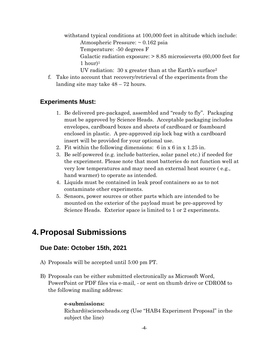withstand typical conditions at 100,000 feet in altitude which include:

Atmospheric Pressure: ~ 0.162 psia

Temperature: -50 degrees F

Galactic radiation exposure: > 8.85 microsieverts (60,000 feet for  $1$  hour)<sup>1</sup>

UV radiation:  $30x$  greater than at the Earth's surface<sup>2</sup>

f. Take into account that recovery/retrieval of the experiments from the landing site may take 48 – 72 hours.

#### **Experiments Must:**

- 1. Be delivered pre-packaged, assembled and "ready to fly". Packaging must be approved by Science Heads. Acceptable packaging includes envelopes, cardboard boxes and sheets of cardboard or foamboard enclosed in plastic. A pre-approved zip lock bag with a cardboard insert will be provided for your optional use.
- 2. Fit within the following dimensions: 6 in x 6 in x 1.25 in.
- 3. Be self-powered (e.g. include batteries, solar panel etc.) if needed for the experiment. Please note that most batteries do not function well at very low temperatures and may need an external heat source ( e.g., hand warmer) to operate as intended.
- 4. Liquids must be contained in leak proof containers so as to not contaminate other experiments.
- 5. Sensors, power sources or other parts which are intended to be mounted on the exterior of the payload must be pre-approved by Science Heads. Exterior space is limited to 1 or 2 experiments.

## **4. Proposal Submissions**

#### **Due Date: October 15th, 2021**

- A) Proposals will be accepted until 5:00 pm PT.
- B) Proposals can be either submitted electronically as Microsoft Word, PowerPoint or PDF files via e-mail, - or sent on thumb drive or CDROM to the following mailing address:

#### **e-submissions:**

Richard@scienceheads.org (Use "HAB4 Experiment Proposal" in the subject the line)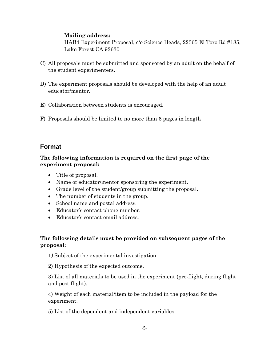#### **Mailing address:**

HAB4 Experiment Proposal, c/o Science Heads, 22365 El Toro Rd #185, Lake Forest CA 92630

- C) All proposals must be submitted and sponsored by an adult on the behalf of the student experimenters.
- D) The experiment proposals should be developed with the help of an adult educator/mentor.
- E) Collaboration between students is encouraged.
- F) Proposals should be limited to no more than 6 pages in length

#### **Format**

#### **The following information is required on the first page of the experiment proposal:**

- Title of proposal.
- Name of educator/mentor sponsoring the experiment.
- Grade level of the student/group submitting the proposal.
- The number of students in the group.
- School name and postal address.
- Educator's contact phone number.
- Educator's contact email address.

#### **The following details must be provided on subsequent pages of the proposal:**

1*)* Subject of the experimental investigation.

2) Hypothesis of the expected outcome.

3) List of all materials to be used in the experiment (pre-flight, during flight and post flight).

4) Weight of each material/item to be included in the payload for the experiment.

5) List of the dependent and independent variables.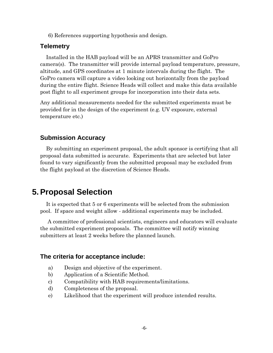6) References supporting hypothesis and design.

#### **Telemetry**

 Installed in the HAB payload will be an APRS transmitter and GoPro camera(s). The transmitter will provide internal payload temperature, pressure, altitude, and GPS coordinates at 1 minute intervals during the flight. The GoPro camera will capture a video looking out horizontally from the payload during the entire flight. Science Heads will collect and make this data available post flight to all experiment groups for incorporation into their data sets.

Any additional measurements needed for the submitted experiments must be provided for in the design of the experiment (e.g. UV exposure, external temperature etc.)

#### **Submission Accuracy**

 By submitting an experiment proposal, the adult sponsor is certifying that all proposal data submitted is accurate. Experiments that are selected but later found to vary significantly from the submitted proposal may be excluded from the flight payload at the discretion of Science Heads.

### **5. Proposal Selection**

 It is expected that 5 or 6 experiments will be selected from the submission pool. If space and weight allow - additional experiments may be included.

 A committee of professional scientists, engineers and educators will evaluate the submitted experiment proposals. The committee will notify winning submitters at least 2 weeks before the planned launch.

#### **The criteria for acceptance include:**

- a) Design and objective of the experiment.
- b) Application of a Scientific Method.
- c) Compatibility with HAB requirements/limitations.
- d) Completeness of the proposal.
- e) Likelihood that the experiment will produce intended results.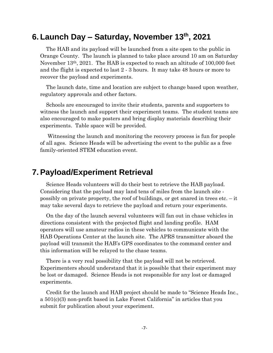## **6. Launch Day – Saturday, November 13th, 2021**

 The HAB and its payload will be launched from a site open to the public in Orange County. The launch is planned to take place around 10 am on Saturday November 13th, 2021. The HAB is expected to reach an altitude of 100,000 feet and the flight is expected to last 2 - 3 hours. It may take 48 hours or more to recover the payload and experiments.

 The launch date, time and location are subject to change based upon weather, regulatory approvals and other factors.

 Schools are encouraged to invite their students, parents and supporters to witness the launch and support their experiment teams. The student teams are also encouraged to make posters and bring display materials describing their experiments. Table space will be provided.

 Witnessing the launch and monitoring the recovery process is fun for people of all ages. Science Heads will be advertising the event to the public as a free family-oriented STEM education event.

### **7. Payload/Experiment Retrieval**

 Science Heads volunteers will do their best to retrieve the HAB payload. Considering that the payload may land tens of miles from the launch site possibly on private property, the roof of buildings, or get snared in trees etc. – it may take several days to retrieve the payload and return your experiments.

 On the day of the launch several volunteers will fan out in chase vehicles in directions consistent with the projected flight and landing profile. HAM operators will use amateur radios in these vehicles to communicate with the HAB Operations Center at the launch site. The APRS transmitter aboard the payload will transmit the HAB's GPS coordinates to the command center and this information will be relayed to the chase teams.

 There is a very real possibility that the payload will not be retrieved. Experimenters should understand that it is possible that their experiment may be lost or damaged. Science Heads is not responsible for any lost or damaged experiments.

 Credit for the launch and HAB project should be made to "Science Heads Inc., a 501(c)(3) non-profit based in Lake Forest California" in articles that you submit for publication about your experiment.